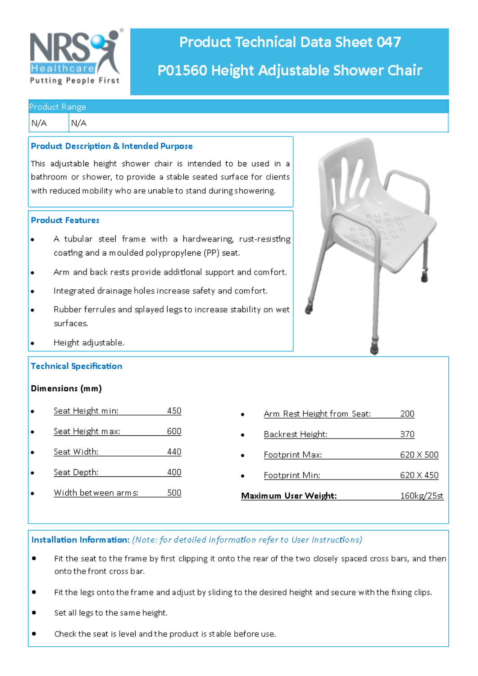

# **Product Technical Data Sheet 047** P01560 Height Adjustable Shower Chair

### **Product Range**

N/A N/A

### **Product Description & Intended Purpose**

This adjustable height shower chair is intended to be used in a bathroom or shower, to provide a stable seated surface for clients with reduced mobility who are unable to stand during showering.

### **Product Features**

- A tubular steel frame with a hardwearing, rust-resisting coating and a moulded polypropylene (PP) seat.
- Arm and back rests provide additional support and comfort.
- Integrated drainage holes increase safety and comfort.
- Rubber ferrules and splayed legs to increase stability on wet ٠ surfaces.
- Height adjustable.

### **Technical Specification**

### Dimensions (mm)

- Seat Height min: 450
- Seat Height max: 600
- Seat Width: 440
- Seat Depth: 400
- Width between arms: 500

| $\bullet$ | Arm Rest Height from Seat: | 200       |
|-----------|----------------------------|-----------|
| ٠         | Backrest Height:           | 370       |
| $\bullet$ | Footprint Max:             | 620 X 500 |
| ٠         | Footprint Min:             | 620 X 450 |
|           |                            |           |

Maximum User Weight: 160kg/25st

### Installation Information: (Note: for detailed information refer to User Instructions)

- Fit the seat to the frame by first clipping it onto the rear of the two closely spaced cross bars, and then  $\bullet$ onto the front cross bar.
- Fit the legs onto the frame and adjust by sliding to the desired height and secure with the fixing clips. ¢
- Set all legs to the same height. ٠
- Check the seat is level and the product is stable before use.

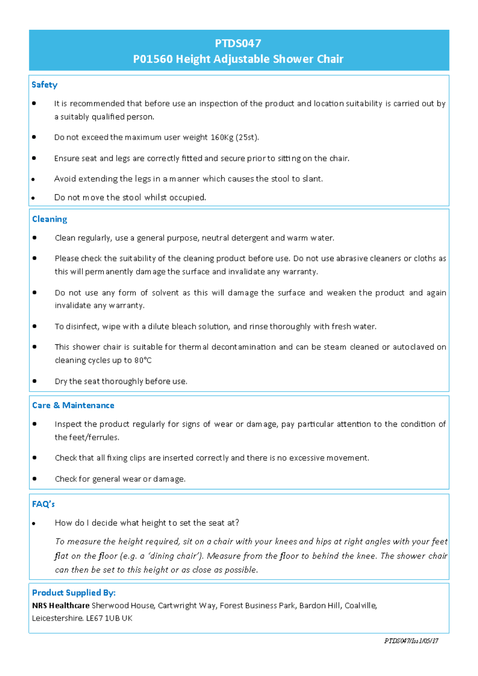# **PTDS047** P01560 Height Adjustable Shower Chair

### Safety

- It is recommended that before use an inspection of the product and location suitability is carried out by  $\bullet$ a suitably qualified person.
- Do not exceed the maximum user weight 160Kg (25st).  $\bullet$
- Ensure seat and legs are correctly fitted and secure prior to sitting on the chair.
- Avoid extending the legs in a manner which causes the stool to slant.
- Do not move the stool whilst occupied.

### Cleaning

- Clean regularly, use a general purpose, neutral detergent and warm water. ٠
- Please check the suitability of the cleaning product before use. Do not use abrasive cleaners or cloths as ٠ this will permanently damage the surface and invalidate any warranty.
- Do not use any form of solvent as this will damage the surface and weaken the product and again  $\bullet$ invalidate any warranty.
- To disinfect, wipe with a dilute bleach solution, and rinse thoroughly with fresh water.  $\bullet$
- This shower chair is suitable for thermal decontamination and can be steam cleaned or autoclaved on  $\bullet$ cleaning cycles up to 80°C
- Dry the seat thoroughly before use.

### **Care & Maintenance**

- Inspect the product regularly for signs of wear or damage, pay particular attention to the condition of the feet/ferrules.
- Check that all fixing clips are inserted correctly and there is no excessive movement.  $\bullet$
- Check for general wear or damage.

### FAQ's

How do I decide what height to set the seat at?

To measure the height required, sit on a chair with your knees and hips at right angles with your feet flat on the floor (e.g. a 'dining chair'). Measure from the floor to behind the knee. The shower chair can then be set to this height or as close as possible.

### **Product Supplied By:**

NRS Healthcare Sherwood House, Cartwright Way, Forest Business Park, Bardon Hill, Coalville, Leicestershire. LE67 1UB UK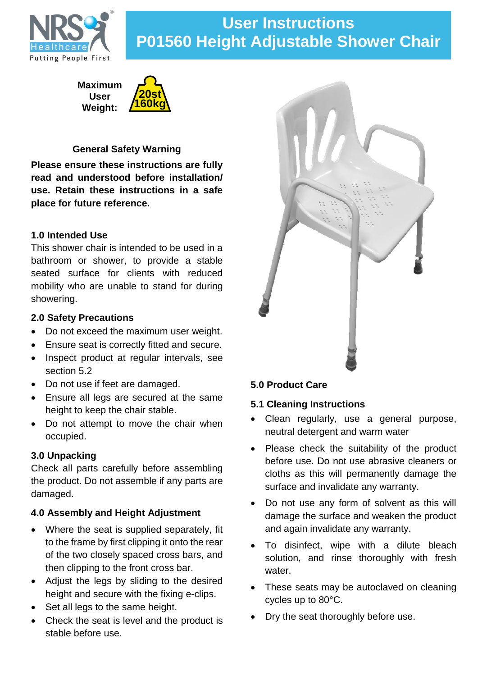

# **User Instructions P01560 Height Adjustable Shower Chair**

**Maximum User Weight:**



# **General Safety Warning**

**Please ensure these instructions are fully read and understood before installation/ use. Retain these instructions in a safe place for future reference.**

# **1.0 Intended Use**

This shower chair is intended to be used in a bathroom or shower, to provide a stable seated surface for clients with reduced mobility who are unable to stand for during showering.

# **2.0 Safety Precautions**

- Do not exceed the maximum user weight.
- Ensure seat is correctly fitted and secure.
- Inspect product at regular intervals, see section 5.2
- Do not use if feet are damaged.
- Ensure all legs are secured at the same height to keep the chair stable.
- Do not attempt to move the chair when occupied.

# **3.0 Unpacking**

Check all parts carefully before assembling the product. Do not assemble if any parts are damaged.

# **4.0 Assembly and Height Adjustment**

- Where the seat is supplied separately, fit to the frame by first clipping it onto the rear of the two closely spaced cross bars, and then clipping to the front cross bar.
- Adjust the legs by sliding to the desired height and secure with the fixing e-clips.
- Set all legs to the same height.
- Check the seat is level and the product is stable before use.



# **5.1 Cleaning Instructions**

- Clean regularly, use a general purpose, neutral detergent and warm water
- Please check the suitability of the product before use. Do not use abrasive cleaners or cloths as this will permanently damage the surface and invalidate any warranty.
- Do not use any form of solvent as this will damage the surface and weaken the product and again invalidate any warranty.
- To disinfect, wipe with a dilute bleach solution, and rinse thoroughly with fresh water.
- These seats may be autoclaved on cleaning cycles up to 80°C.
- Dry the seat thoroughly before use.